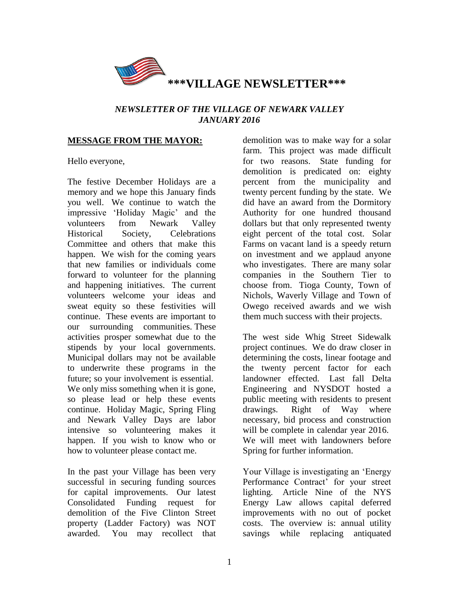

# *NEWSLETTER OF THE VILLAGE OF NEWARK VALLEY JANUARY 2016*

#### **MESSAGE FROM THE MAYOR:**

Hello everyone,

The festive December Holidays are a memory and we hope this January finds you well. We continue to watch the impressive 'Holiday Magic' and the volunteers from Newark Valley Historical Society, Celebrations Committee and others that make this happen. We wish for the coming years that new families or individuals come forward to volunteer for the planning and happening initiatives. The current volunteers welcome your ideas and sweat equity so these festivities will continue. These events are important to our surrounding communities. These activities prosper somewhat due to the stipends by your local governments. Municipal dollars may not be available to underwrite these programs in the future; so your involvement is essential. We only miss something when it is gone, so please lead or help these events continue. Holiday Magic, Spring Fling and Newark Valley Days are labor intensive so volunteering makes it happen. If you wish to know who or how to volunteer please contact me.

In the past your Village has been very successful in securing funding sources for capital improvements. Our latest Consolidated Funding request for demolition of the Five Clinton Street property (Ladder Factory) was NOT awarded. You may recollect that demolition was to make way for a solar farm. This project was made difficult for two reasons. State funding for demolition is predicated on: eighty percent from the municipality and twenty percent funding by the state. We did have an award from the Dormitory Authority for one hundred thousand dollars but that only represented twenty eight percent of the total cost. Solar Farms on vacant land is a speedy return on investment and we applaud anyone who investigates. There are many solar companies in the Southern Tier to choose from. Tioga County, Town of Nichols, Waverly Village and Town of Owego received awards and we wish them much success with their projects.

The west side Whig Street Sidewalk project continues. We do draw closer in determining the costs, linear footage and the twenty percent factor for each landowner effected. Last fall Delta Engineering and NYSDOT hosted a public meeting with residents to present drawings. Right of Way where necessary, bid process and construction will be complete in calendar year 2016. We will meet with landowners before Spring for further information.

Your Village is investigating an 'Energy Performance Contract' for your street lighting. Article Nine of the NYS Energy Law allows capital deferred improvements with no out of pocket costs. The overview is: annual utility savings while replacing antiquated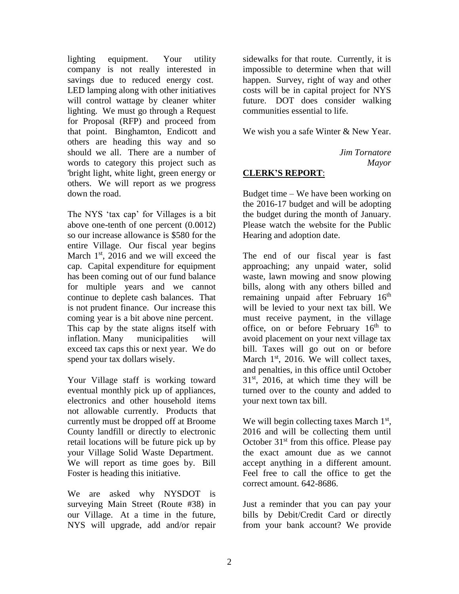lighting equipment. Your utility company is not really interested in savings due to reduced energy cost. LED lamping along with other initiatives will control wattage by cleaner whiter lighting. We must go through a Request for Proposal (RFP) and proceed from that point. Binghamton, Endicott and others are heading this way and so should we all. There are a number of words to category this project such as 'bright light, white light, green energy or others. We will report as we progress down the road.

The NYS 'tax cap' for Villages is a bit above one-tenth of one percent (0.0012) so our increase allowance is \$580 for the entire Village. Our fiscal year begins March  $1<sup>st</sup>$ , 2016 and we will exceed the cap. Capital expenditure for equipment has been coming out of our fund balance for multiple years and we cannot continue to deplete cash balances. That is not prudent finance. Our increase this coming year is a bit above nine percent. This cap by the state aligns itself with inflation. Many municipalities will exceed tax caps this or next year. We do spend your tax dollars wisely.

Your Village staff is working toward eventual monthly pick up of appliances, electronics and other household items not allowable currently. Products that currently must be dropped off at Broome County landfill or directly to electronic retail locations will be future pick up by your Village Solid Waste Department. We will report as time goes by. Bill Foster is heading this initiative.

We are asked why NYSDOT is surveying Main Street (Route #38) in our Village. At a time in the future, NYS will upgrade, add and/or repair

sidewalks for that route. Currently, it is impossible to determine when that will happen. Survey, right of way and other costs will be in capital project for NYS future. DOT does consider walking communities essential to life.

We wish you a safe Winter & New Year.

*Jim Tornatore Mayor*

# **CLERK'S REPORT**:

Budget time – We have been working on the 2016-17 budget and will be adopting the budget during the month of January. Please watch the website for the Public Hearing and adoption date.

The end of our fiscal year is fast approaching; any unpaid water, solid waste, lawn mowing and snow plowing bills, along with any others billed and remaining unpaid after February 16<sup>th</sup> will be levied to your next tax bill. We must receive payment, in the village office, on or before February 16<sup>th</sup> to avoid placement on your next village tax bill. Taxes will go out on or before March  $1<sup>st</sup>$ , 2016. We will collect taxes, and penalties, in this office until October  $31<sup>st</sup>$ , 2016, at which time they will be turned over to the county and added to your next town tax bill.

We will begin collecting taxes March  $1<sup>st</sup>$ , 2016 and will be collecting them until October  $31<sup>st</sup>$  from this office. Please pay the exact amount due as we cannot accept anything in a different amount. Feel free to call the office to get the correct amount. 642-8686.

Just a reminder that you can pay your bills by Debit/Credit Card or directly from your bank account? We provide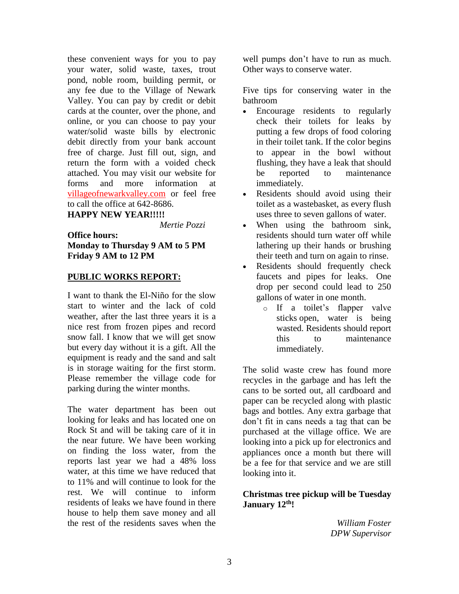these convenient ways for you to pay your water, solid waste, taxes, trout pond, noble room, building permit, or any fee due to the Village of Newark Valley. You can pay by credit or debit cards at the counter, over the phone, and online, or you can choose to pay your water/solid waste bills by electronic debit directly from your bank account free of charge. Just fill out, sign, and return the form with a voided check attached. You may visit our website for forms and more information at villageofnewarkvalley.com or feel free to call the office at 642-8686.

#### **HAPPY NEW YEAR!!!!!**

 *Mertie Pozzi*

#### **Office hours: Monday to Thursday 9 AM to 5 PM Friday 9 AM to 12 PM**

#### **PUBLIC WORKS REPORT:**

I want to thank the El-Niño for the slow start to winter and the lack of cold weather, after the last three years it is a nice rest from frozen pipes and record snow fall. I know that we will get snow but every day without it is a gift. All the equipment is ready and the sand and salt is in storage waiting for the first storm. Please remember the village code for parking during the winter months.

The water department has been out looking for leaks and has located one on Rock St and will be taking care of it in the near future. We have been working on finding the loss water, from the reports last year we had a 48% loss water, at this time we have reduced that to 11% and will continue to look for the rest. We will continue to inform residents of leaks we have found in there house to help them save money and all the rest of the residents saves when the

well pumps don't have to run as much. Other ways to conserve water.

Five tips for conserving water in the bathroom

- Encourage residents to regularly check their toilets for leaks by putting a few drops of food coloring in their toilet tank. If the color begins to appear in the bowl without flushing, they have a leak that should be reported to maintenance immediately.
- Residents should avoid using their toilet as a wastebasket, as every flush uses three to seven gallons of water.
- When using the bathroom sink, residents should turn water off while lathering up their hands or brushing their teeth and turn on again to rinse.
- Residents should frequently check faucets and pipes for leaks. One drop per second could lead to 250 gallons of water in one month.
	- o If a toilet's flapper valve sticks open, water is being wasted. Residents should report this to maintenance immediately.

The solid waste crew has found more recycles in the garbage and has left the cans to be sorted out, all cardboard and paper can be recycled along with plastic bags and bottles. Any extra garbage that don't fit in cans needs a tag that can be purchased at the village office. We are looking into a pick up for electronics and appliances once a month but there will be a fee for that service and we are still looking into it.

#### **Christmas tree pickup will be Tuesday January 12th!**

*William Foster DPW Supervisor*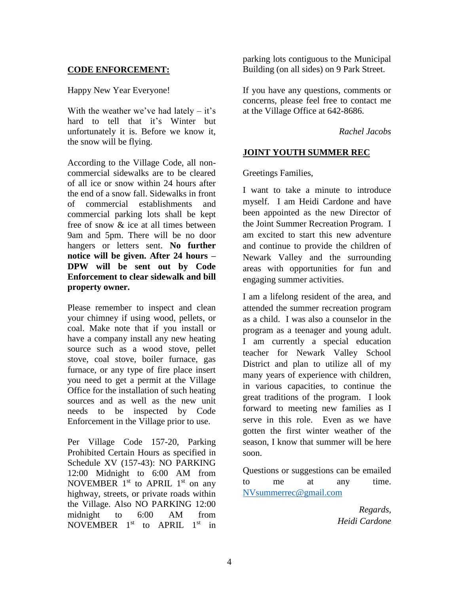# **CODE ENFORCEMENT:**

#### Happy New Year Everyone!

With the weather we've had lately  $-$  it's hard to tell that it's Winter but unfortunately it is. Before we know it, the snow will be flying.

According to the Village Code, all noncommercial sidewalks are to be cleared of all ice or snow within 24 hours after the end of a snow fall. Sidewalks in front of commercial establishments and commercial parking lots shall be kept free of snow & ice at all times between 9am and 5pm. There will be no door hangers or letters sent. **No further notice will be given. After 24 hours – DPW will be sent out by Code Enforcement to clear sidewalk and bill property owner.**

Please remember to inspect and clean your chimney if using wood, pellets, or coal. Make note that if you install or have a company install any new heating source such as a wood stove, pellet stove, coal stove, boiler furnace, gas furnace, or any type of fire place insert you need to get a permit at the Village Office for the installation of such heating sources and as well as the new unit needs to be inspected by Code Enforcement in the Village prior to use.

Per Village Code 157-20, Parking Prohibited Certain Hours as specified in Schedule XV (157-43): NO PARKING 12:00 Midnight to 6:00 AM from NOVEMBER  $1<sup>st</sup>$  to APRIL  $1<sup>st</sup>$  on any highway, streets, or private roads within the Village. Also NO PARKING 12:00 midnight to 6:00 AM from NOVEMBER  $1<sup>st</sup>$  to APRIL  $1<sup>st</sup>$  in parking lots contiguous to the Municipal Building (on all sides) on 9 Park Street.

If you have any questions, comments or concerns, please feel free to contact me at the Village Office at 642-8686.

#### *Rachel Jacobs*

## **JOINT YOUTH SUMMER REC**

Greetings Families,

I want to take a minute to introduce myself. I am Heidi Cardone and have been appointed as the new Director of the Joint Summer Recreation Program. I am excited to start this new adventure and continue to provide the children of Newark Valley and the surrounding areas with opportunities for fun and engaging summer activities.

I am a lifelong resident of the area, and attended the summer recreation program as a child. I was also a counselor in the program as a teenager and young adult. I am currently a special education teacher for Newark Valley School District and plan to utilize all of my many years of experience with children, in various capacities, to continue the great traditions of the program. I look forward to meeting new families as I serve in this role. Even as we have gotten the first winter weather of the season, I know that summer will be here soon.

Questions or suggestions can be emailed to me at any time. [NVsummerrec@gmail.com](mailto:NVsummerrec@gmail.com) 

> *Regards, Heidi Cardone*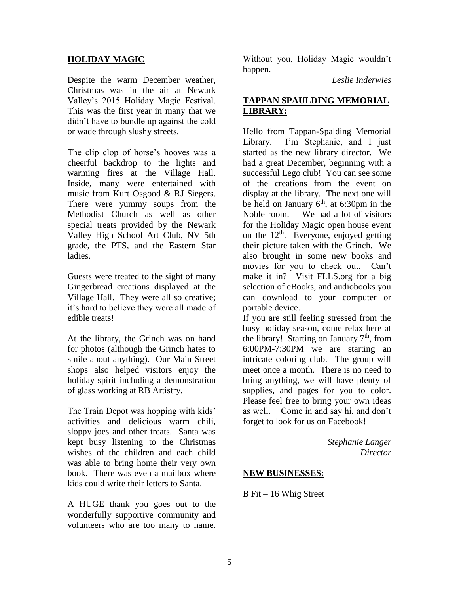#### **HOLIDAY MAGIC**

Despite the warm December weather, Christmas was in the air at Newark Valley's 2015 Holiday Magic Festival. This was the first year in many that we didn't have to bundle up against the cold or wade through slushy streets.

The clip clop of horse's hooves was a cheerful backdrop to the lights and warming fires at the Village Hall. Inside, many were entertained with music from Kurt Osgood & RJ Siegers. There were yummy soups from the Methodist Church as well as other special treats provided by the Newark Valley High School Art Club, NV 5th grade, the PTS, and the Eastern Star ladies.

Guests were treated to the sight of many Gingerbread creations displayed at the Village Hall. They were all so creative; it's hard to believe they were all made of edible treats!

At the library, the Grinch was on hand for photos (although the Grinch hates to smile about anything). Our Main Street shops also helped visitors enjoy the holiday spirit including a demonstration of glass working at RB Artistry.

The Train Depot was hopping with kids' activities and delicious warm chili, sloppy joes and other treats. Santa was kept busy listening to the Christmas wishes of the children and each child was able to bring home their very own book. There was even a mailbox where kids could write their letters to Santa.

A HUGE thank you goes out to the wonderfully supportive community and volunteers who are too many to name.

Without you, Holiday Magic wouldn't happen.

*Leslie Inderwies*

# **TAPPAN SPAULDING MEMORIAL LIBRARY:**

Hello from Tappan-Spalding Memorial Library. I'm Stephanie, and I just started as the new library director. We had a great December, beginning with a successful Lego club! You can see some of the creations from the event on display at the library. The next one will be held on January  $6<sup>th</sup>$ , at 6:30pm in the Noble room. We had a lot of visitors for the Holiday Magic open house event on the  $12<sup>th</sup>$ . Everyone, enjoyed getting their picture taken with the Grinch. We also brought in some new books and movies for you to check out. Can't make it in? Visit FLLS.org for a big selection of eBooks, and audiobooks you can download to your computer or portable device.

If you are still feeling stressed from the busy holiday season, come relax here at the library! Starting on January  $7<sup>th</sup>$ , from 6:00PM-7:30PM we are starting an intricate coloring club. The group will meet once a month. There is no need to bring anything, we will have plenty of supplies, and pages for you to color. Please feel free to bring your own ideas as well. Come in and say hi, and don't forget to look for us on Facebook!

> *Stephanie Langer Director*

#### **NEW BUSINESSES:**

B Fit – 16 Whig Street